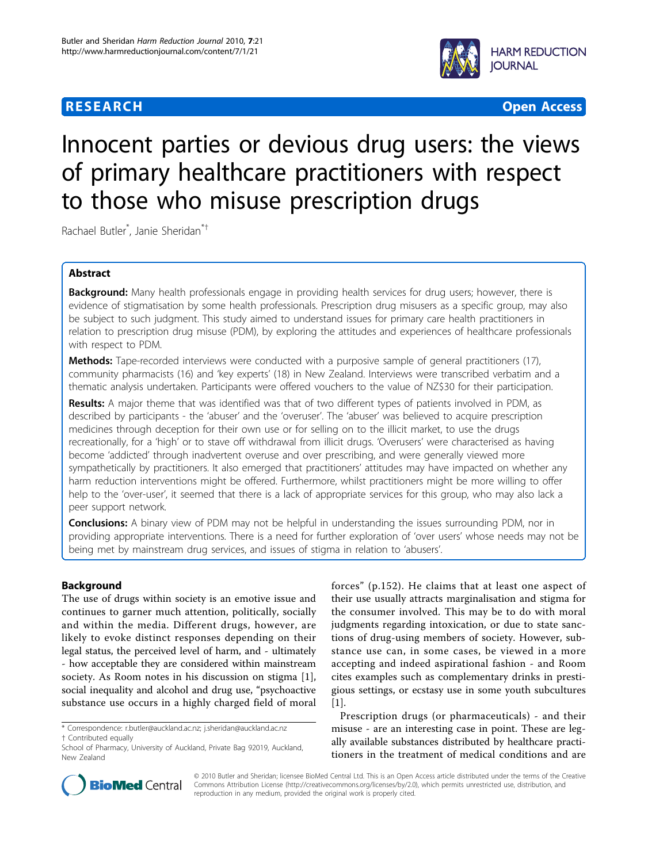## **RESEARCH CONTROL** CONTROL CONTROL CONTROL CONTROL CONTROL CONTROL CONTROL CONTROL CONTROL CONTROL CONTROL CONTROL



# Innocent parties or devious drug users: the views of primary healthcare practitioners with respect to those who misuse prescription drugs

Rachael Butler\* , Janie Sheridan\*†

## Abstract

Background: Many health professionals engage in providing health services for drug users; however, there is evidence of stigmatisation by some health professionals. Prescription drug misusers as a specific group, may also be subject to such judgment. This study aimed to understand issues for primary care health practitioners in relation to prescription drug misuse (PDM), by exploring the attitudes and experiences of healthcare professionals with respect to PDM.

Methods: Tape-recorded interviews were conducted with a purposive sample of general practitioners (17), community pharmacists (16) and 'key experts' (18) in New Zealand. Interviews were transcribed verbatim and a thematic analysis undertaken. Participants were offered vouchers to the value of NZ\$30 for their participation.

Results: A major theme that was identified was that of two different types of patients involved in PDM, as described by participants - the 'abuser' and the 'overuser'. The 'abuser' was believed to acquire prescription medicines through deception for their own use or for selling on to the illicit market, to use the drugs recreationally, for a 'high' or to stave off withdrawal from illicit drugs. 'Overusers' were characterised as having become 'addicted' through inadvertent overuse and over prescribing, and were generally viewed more sympathetically by practitioners. It also emerged that practitioners' attitudes may have impacted on whether any harm reduction interventions might be offered. Furthermore, whilst practitioners might be more willing to offer help to the 'over-user', it seemed that there is a lack of appropriate services for this group, who may also lack a peer support network.

**Conclusions:** A binary view of PDM may not be helpful in understanding the issues surrounding PDM, nor in providing appropriate interventions. There is a need for further exploration of 'over users' whose needs may not be being met by mainstream drug services, and issues of stigma in relation to 'abusers'.

## Background

The use of drugs within society is an emotive issue and continues to garner much attention, politically, socially and within the media. Different drugs, however, are likely to evoke distinct responses depending on their legal status, the perceived level of harm, and - ultimately - how acceptable they are considered within mainstream society. As Room notes in his discussion on stigma [\[1](#page-9-0)], social inequality and alcohol and drug use, "psychoactive substance use occurs in a highly charged field of moral forces" (p.152). He claims that at least one aspect of their use usually attracts marginalisation and stigma for the consumer involved. This may be to do with moral judgments regarding intoxication, or due to state sanctions of drug-using members of society. However, substance use can, in some cases, be viewed in a more accepting and indeed aspirational fashion - and Room cites examples such as complementary drinks in prestigious settings, or ecstasy use in some youth subcultures [[1\]](#page-9-0).

Prescription drugs (or pharmaceuticals) - and their misuse - are an interesting case in point. These are legally available substances distributed by healthcare practitioners in the treatment of medical conditions and are



© 2010 Butler and Sheridan; licensee BioMed Central Ltd. This is an Open Access article distributed under the terms of the Creative Commons Attribution License [\(http://creativecommons.org/licenses/by/2.0](http://creativecommons.org/licenses/by/2.0)), which permits unrestricted use, distribution, and reproduction in any medium, provided the original work is properly cited.

<sup>\*</sup> Correspondence: [r.butler@auckland.ac.nz;](mailto:r.butler@auckland.ac.nz) [j.sheridan@auckland.ac.nz](mailto:j.sheridan@auckland.ac.nz) † Contributed equally

School of Pharmacy, University of Auckland, Private Bag 92019, Auckland, New Zealand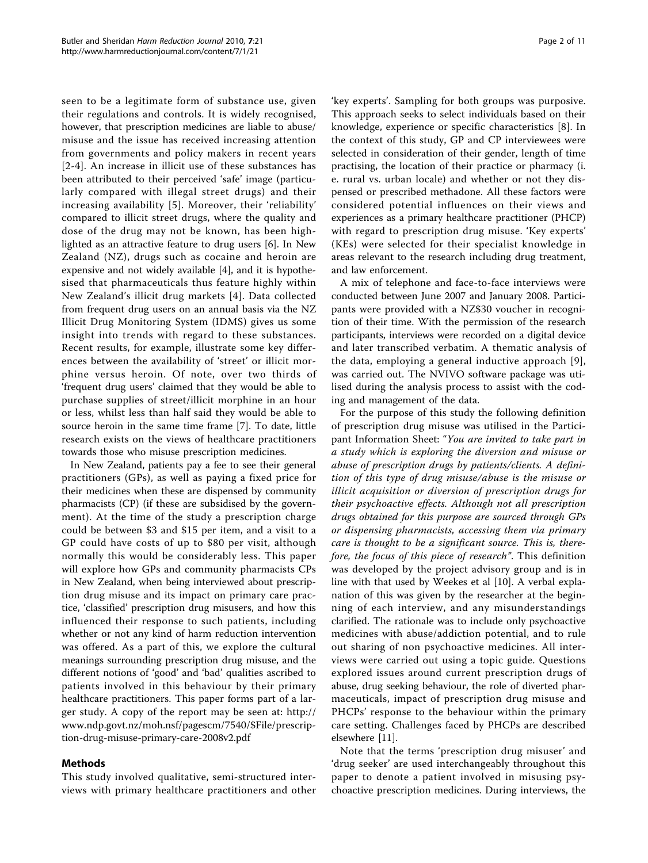seen to be a legitimate form of substance use, given their regulations and controls. It is widely recognised, however, that prescription medicines are liable to abuse/ misuse and the issue has received increasing attention from governments and policy makers in recent years [[2](#page-9-0)-[4\]](#page-9-0). An increase in illicit use of these substances has been attributed to their perceived 'safe' image (particularly compared with illegal street drugs) and their increasing availability [[5](#page-9-0)]. Moreover, their 'reliability' compared to illicit street drugs, where the quality and dose of the drug may not be known, has been highlighted as an attractive feature to drug users [\[6](#page-9-0)]. In New Zealand (NZ), drugs such as cocaine and heroin are expensive and not widely available [\[4](#page-9-0)], and it is hypothesised that pharmaceuticals thus feature highly within New Zealand's illicit drug markets [[4](#page-9-0)]. Data collected from frequent drug users on an annual basis via the NZ Illicit Drug Monitoring System (IDMS) gives us some insight into trends with regard to these substances. Recent results, for example, illustrate some key differences between the availability of 'street' or illicit morphine versus heroin. Of note, over two thirds of 'frequent drug users' claimed that they would be able to purchase supplies of street/illicit morphine in an hour or less, whilst less than half said they would be able to source heroin in the same time frame [[7](#page-9-0)]. To date, little research exists on the views of healthcare practitioners towards those who misuse prescription medicines.

In New Zealand, patients pay a fee to see their general practitioners (GPs), as well as paying a fixed price for their medicines when these are dispensed by community pharmacists (CP) (if these are subsidised by the government). At the time of the study a prescription charge could be between \$3 and \$15 per item, and a visit to a GP could have costs of up to \$80 per visit, although normally this would be considerably less. This paper will explore how GPs and community pharmacists CPs in New Zealand, when being interviewed about prescription drug misuse and its impact on primary care practice, 'classified' prescription drug misusers, and how this influenced their response to such patients, including whether or not any kind of harm reduction intervention was offered. As a part of this, we explore the cultural meanings surrounding prescription drug misuse, and the different notions of 'good' and 'bad' qualities ascribed to patients involved in this behaviour by their primary healthcare practitioners. This paper forms part of a larger study. A copy of the report may be seen at: [http://](http://www.ndp.govt.nz/moh.nsf/pagescm/7540/$File/prescription-drug-misuse-primary-care-2008v2.pdf) [www.ndp.govt.nz/moh.nsf/pagescm/7540/\\$File/prescrip](http://www.ndp.govt.nz/moh.nsf/pagescm/7540/$File/prescription-drug-misuse-primary-care-2008v2.pdf)[tion-drug-misuse-primary-care-2008v2.pdf](http://www.ndp.govt.nz/moh.nsf/pagescm/7540/$File/prescription-drug-misuse-primary-care-2008v2.pdf)

## Methods

This study involved qualitative, semi-structured interviews with primary healthcare practitioners and other

'key experts'. Sampling for both groups was purposive. This approach seeks to select individuals based on their knowledge, experience or specific characteristics [[8\]](#page-9-0). In the context of this study, GP and CP interviewees were selected in consideration of their gender, length of time practising, the location of their practice or pharmacy (i. e. rural vs. urban locale) and whether or not they dispensed or prescribed methadone. All these factors were considered potential influences on their views and experiences as a primary healthcare practitioner (PHCP) with regard to prescription drug misuse. 'Key experts' (KEs) were selected for their specialist knowledge in areas relevant to the research including drug treatment, and law enforcement.

A mix of telephone and face-to-face interviews were conducted between June 2007 and January 2008. Participants were provided with a NZ\$30 voucher in recognition of their time. With the permission of the research participants, interviews were recorded on a digital device and later transcribed verbatim. A thematic analysis of the data, employing a general inductive approach [[9](#page-9-0)], was carried out. The NVIVO software package was utilised during the analysis process to assist with the coding and management of the data.

For the purpose of this study the following definition of prescription drug misuse was utilised in the Participant Information Sheet: "You are invited to take part in a study which is exploring the diversion and misuse or abuse of prescription drugs by patients/clients. A definition of this type of drug misuse/abuse is the misuse or illicit acquisition or diversion of prescription drugs for their psychoactive effects. Although not all prescription drugs obtained for this purpose are sourced through GPs or dispensing pharmacists, accessing them via primary care is thought to be a significant source. This is, therefore, the focus of this piece of research". This definition was developed by the project advisory group and is in line with that used by Weekes et al [\[10\]](#page-9-0). A verbal explanation of this was given by the researcher at the beginning of each interview, and any misunderstandings clarified. The rationale was to include only psychoactive medicines with abuse/addiction potential, and to rule out sharing of non psychoactive medicines. All interviews were carried out using a topic guide. Questions explored issues around current prescription drugs of abuse, drug seeking behaviour, the role of diverted pharmaceuticals, impact of prescription drug misuse and PHCPs' response to the behaviour within the primary care setting. Challenges faced by PHCPs are described elsewhere [[11](#page-9-0)].

Note that the terms 'prescription drug misuser' and 'drug seeker' are used interchangeably throughout this paper to denote a patient involved in misusing psychoactive prescription medicines. During interviews, the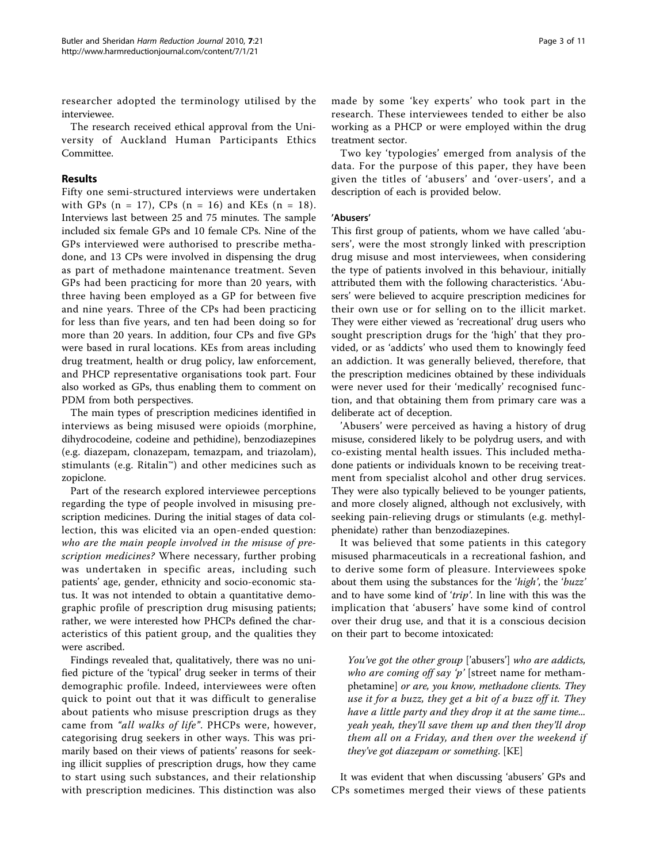researcher adopted the terminology utilised by the interviewee.

The research received ethical approval from the University of Auckland Human Participants Ethics Committee.

## Results

Fifty one semi-structured interviews were undertaken with GPs ( $n = 17$ ), CPs ( $n = 16$ ) and KEs ( $n = 18$ ). Interviews last between 25 and 75 minutes. The sample included six female GPs and 10 female CPs. Nine of the GPs interviewed were authorised to prescribe methadone, and 13 CPs were involved in dispensing the drug as part of methadone maintenance treatment. Seven GPs had been practicing for more than 20 years, with three having been employed as a GP for between five and nine years. Three of the CPs had been practicing for less than five years, and ten had been doing so for more than 20 years. In addition, four CPs and five GPs were based in rural locations. KEs from areas including drug treatment, health or drug policy, law enforcement, and PHCP representative organisations took part. Four also worked as GPs, thus enabling them to comment on PDM from both perspectives.

The main types of prescription medicines identified in interviews as being misused were opioids (morphine, dihydrocodeine, codeine and pethidine), benzodiazepines (e.g. diazepam, clonazepam, temazpam, and triazolam), stimulants (e.g. Ritalin™) and other medicines such as zopiclone.

Part of the research explored interviewee perceptions regarding the type of people involved in misusing prescription medicines. During the initial stages of data collection, this was elicited via an open-ended question: who are the main people involved in the misuse of prescription medicines? Where necessary, further probing was undertaken in specific areas, including such patients' age, gender, ethnicity and socio-economic status. It was not intended to obtain a quantitative demographic profile of prescription drug misusing patients; rather, we were interested how PHCPs defined the characteristics of this patient group, and the qualities they were ascribed.

Findings revealed that, qualitatively, there was no unified picture of the 'typical' drug seeker in terms of their demographic profile. Indeed, interviewees were often quick to point out that it was difficult to generalise about patients who misuse prescription drugs as they came from "all walks of life". PHCPs were, however, categorising drug seekers in other ways. This was primarily based on their views of patients' reasons for seeking illicit supplies of prescription drugs, how they came to start using such substances, and their relationship with prescription medicines. This distinction was also made by some 'key experts' who took part in the research. These interviewees tended to either be also working as a PHCP or were employed within the drug treatment sector.

Two key 'typologies' emerged from analysis of the data. For the purpose of this paper, they have been given the titles of 'abusers' and 'over-users', and a description of each is provided below.

#### 'Abusers'

This first group of patients, whom we have called 'abusers', were the most strongly linked with prescription drug misuse and most interviewees, when considering the type of patients involved in this behaviour, initially attributed them with the following characteristics. 'Abusers' were believed to acquire prescription medicines for their own use or for selling on to the illicit market. They were either viewed as 'recreational' drug users who sought prescription drugs for the 'high' that they provided, or as 'addicts' who used them to knowingly feed an addiction. It was generally believed, therefore, that the prescription medicines obtained by these individuals were never used for their 'medically' recognised function, and that obtaining them from primary care was a deliberate act of deception.

'Abusers' were perceived as having a history of drug misuse, considered likely to be polydrug users, and with co-existing mental health issues. This included methadone patients or individuals known to be receiving treatment from specialist alcohol and other drug services. They were also typically believed to be younger patients, and more closely aligned, although not exclusively, with seeking pain-relieving drugs or stimulants (e.g. methylphenidate) rather than benzodiazepines.

It was believed that some patients in this category misused pharmaceuticals in a recreational fashion, and to derive some form of pleasure. Interviewees spoke about them using the substances for the 'high', the 'buzz' and to have some kind of 'trip'. In line with this was the implication that 'abusers' have some kind of control over their drug use, and that it is a conscious decision on their part to become intoxicated:

You've got the other group ['abusers'] who are addicts, who are coming off say 'p' [street name for methamphetamine] or are, you know, methadone clients. They use it for a buzz, they get a bit of a buzz off it. They have a little party and they drop it at the same time... yeah yeah, they'll save them up and then they'll drop them all on a Friday, and then over the weekend if they've got diazepam or something. [KE]

It was evident that when discussing 'abusers' GPs and CPs sometimes merged their views of these patients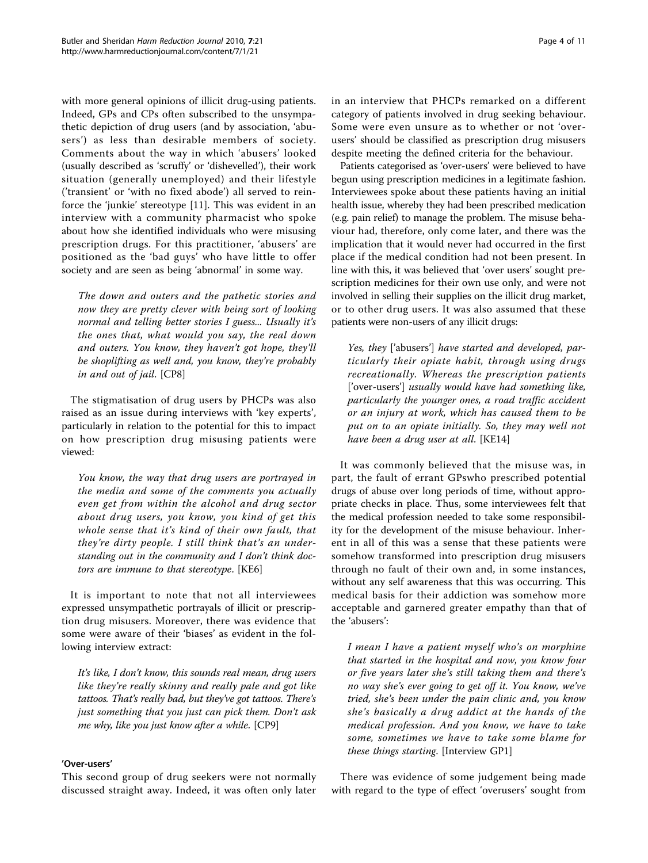with more general opinions of illicit drug-using patients. Indeed, GPs and CPs often subscribed to the unsympathetic depiction of drug users (and by association, 'abusers') as less than desirable members of society. Comments about the way in which 'abusers' looked (usually described as 'scruffy' or 'dishevelled'), their work situation (generally unemployed) and their lifestyle ('transient' or 'with no fixed abode') all served to reinforce the 'junkie' stereotype [[11\]](#page-9-0). This was evident in an interview with a community pharmacist who spoke about how she identified individuals who were misusing prescription drugs. For this practitioner, 'abusers' are positioned as the 'bad guys' who have little to offer society and are seen as being 'abnormal' in some way.

The down and outers and the pathetic stories and now they are pretty clever with being sort of looking normal and telling better stories I guess... Usually it's the ones that, what would you say, the real down and outers. You know, they haven't got hope, they'll be shoplifting as well and, you know, they're probably in and out of jail. [CP8]

The stigmatisation of drug users by PHCPs was also raised as an issue during interviews with 'key experts', particularly in relation to the potential for this to impact on how prescription drug misusing patients were viewed:

You know, the way that drug users are portrayed in the media and some of the comments you actually even get from within the alcohol and drug sector about drug users, you know, you kind of get this whole sense that it's kind of their own fault, that they're dirty people. I still think that's an understanding out in the community and I don't think doctors are immune to that stereotype. [KE6]

It is important to note that not all interviewees expressed unsympathetic portrayals of illicit or prescription drug misusers. Moreover, there was evidence that some were aware of their 'biases' as evident in the following interview extract:

It's like, I don't know, this sounds real mean, drug users like they're really skinny and really pale and got like tattoos. That's really bad, but they've got tattoos. There's just something that you just can pick them. Don't ask me why, like you just know after a while. [CP9]

#### 'Over-users'

This second group of drug seekers were not normally discussed straight away. Indeed, it was often only later in an interview that PHCPs remarked on a different category of patients involved in drug seeking behaviour. Some were even unsure as to whether or not 'overusers' should be classified as prescription drug misusers despite meeting the defined criteria for the behaviour.

Patients categorised as 'over-users' were believed to have begun using prescription medicines in a legitimate fashion. Interviewees spoke about these patients having an initial health issue, whereby they had been prescribed medication (e.g. pain relief) to manage the problem. The misuse behaviour had, therefore, only come later, and there was the implication that it would never had occurred in the first place if the medical condition had not been present. In line with this, it was believed that 'over users' sought prescription medicines for their own use only, and were not involved in selling their supplies on the illicit drug market, or to other drug users. It was also assumed that these patients were non-users of any illicit drugs:

Yes, they ['abusers'] have started and developed, particularly their opiate habit, through using drugs recreationally. Whereas the prescription patients ['over-users'] usually would have had something like, particularly the younger ones, a road traffic accident or an injury at work, which has caused them to be put on to an opiate initially. So, they may well not have been a drug user at all. [KE14]

It was commonly believed that the misuse was, in part, the fault of errant GPswho prescribed potential drugs of abuse over long periods of time, without appropriate checks in place. Thus, some interviewees felt that the medical profession needed to take some responsibility for the development of the misuse behaviour. Inherent in all of this was a sense that these patients were somehow transformed into prescription drug misusers through no fault of their own and, in some instances, without any self awareness that this was occurring. This medical basis for their addiction was somehow more acceptable and garnered greater empathy than that of the 'abusers':

I mean I have a patient myself who's on morphine that started in the hospital and now, you know four or five years later she's still taking them and there's no way she's ever going to get off it. You know, we've tried, she's been under the pain clinic and, you know she's basically a drug addict at the hands of the medical profession. And you know, we have to take some, sometimes we have to take some blame for these things starting. [Interview GP1]

There was evidence of some judgement being made with regard to the type of effect 'overusers' sought from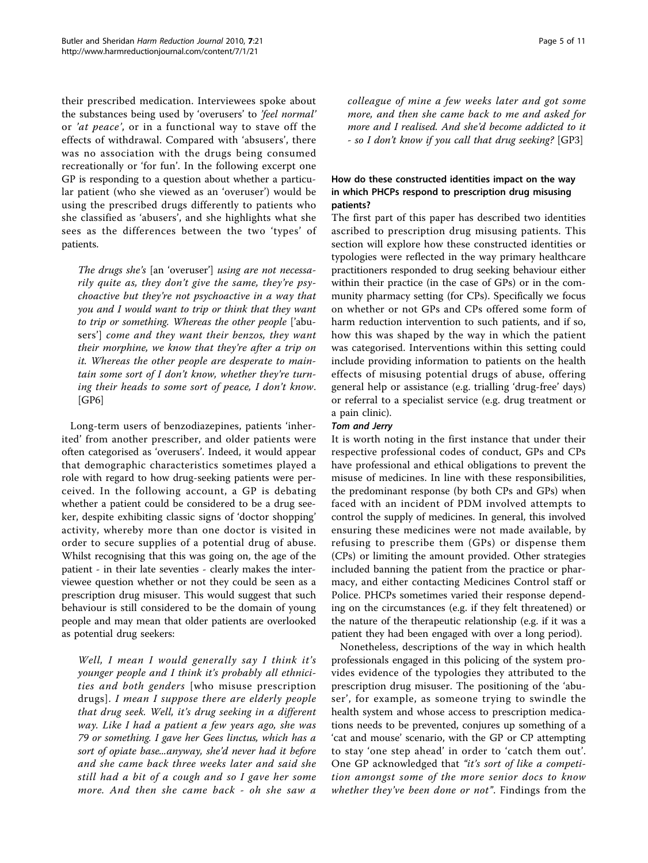their prescribed medication. Interviewees spoke about the substances being used by 'overusers' to 'feel normal' or 'at peace', or in a functional way to stave off the effects of withdrawal. Compared with 'absusers', there was no association with the drugs being consumed recreationally or 'for fun'. In the following excerpt one GP is responding to a question about whether a particular patient (who she viewed as an 'overuser') would be using the prescribed drugs differently to patients who she classified as 'abusers', and she highlights what she sees as the differences between the two 'types' of patients.

The drugs she's [an 'overuser'] using are not necessarily quite as, they don't give the same, they're psychoactive but they're not psychoactive in a way that you and I would want to trip or think that they want to trip or something. Whereas the other people ['abusers'] come and they want their benzos, they want their morphine, we know that they're after a trip on it. Whereas the other people are desperate to maintain some sort of I don't know, whether they're turning their heads to some sort of peace, I don't know. [GP6]

Long-term users of benzodiazepines, patients 'inherited' from another prescriber, and older patients were often categorised as 'overusers'. Indeed, it would appear that demographic characteristics sometimes played a role with regard to how drug-seeking patients were perceived. In the following account, a GP is debating whether a patient could be considered to be a drug seeker, despite exhibiting classic signs of 'doctor shopping' activity, whereby more than one doctor is visited in order to secure supplies of a potential drug of abuse. Whilst recognising that this was going on, the age of the patient - in their late seventies - clearly makes the interviewee question whether or not they could be seen as a prescription drug misuser. This would suggest that such behaviour is still considered to be the domain of young people and may mean that older patients are overlooked as potential drug seekers:

Well, I mean I would generally say I think it's younger people and I think it's probably all ethnicities and both genders [who misuse prescription drugs]. I mean I suppose there are elderly people that drug seek. Well, it's drug seeking in a different way. Like I had a patient a few years ago, she was 79 or something. I gave her Gees linctus, which has a sort of opiate base...anyway, she'd never had it before and she came back three weeks later and said she still had a bit of a cough and so I gave her some more. And then she came back - oh she saw a colleague of mine a few weeks later and got some more, and then she came back to me and asked for more and I realised. And she'd become addicted to it - so I don't know if you call that drug seeking? [GP3]

## How do these constructed identities impact on the way in which PHCPs respond to prescription drug misusing patients?

The first part of this paper has described two identities ascribed to prescription drug misusing patients. This section will explore how these constructed identities or typologies were reflected in the way primary healthcare practitioners responded to drug seeking behaviour either within their practice (in the case of GPs) or in the community pharmacy setting (for CPs). Specifically we focus on whether or not GPs and CPs offered some form of harm reduction intervention to such patients, and if so, how this was shaped by the way in which the patient was categorised. Interventions within this setting could include providing information to patients on the health effects of misusing potential drugs of abuse, offering general help or assistance (e.g. trialling 'drug-free' days) or referral to a specialist service (e.g. drug treatment or a pain clinic).

#### Tom and Jerry

It is worth noting in the first instance that under their respective professional codes of conduct, GPs and CPs have professional and ethical obligations to prevent the misuse of medicines. In line with these responsibilities, the predominant response (by both CPs and GPs) when faced with an incident of PDM involved attempts to control the supply of medicines. In general, this involved ensuring these medicines were not made available, by refusing to prescribe them (GPs) or dispense them (CPs) or limiting the amount provided. Other strategies included banning the patient from the practice or pharmacy, and either contacting Medicines Control staff or Police. PHCPs sometimes varied their response depending on the circumstances (e.g. if they felt threatened) or the nature of the therapeutic relationship (e.g. if it was a patient they had been engaged with over a long period).

Nonetheless, descriptions of the way in which health professionals engaged in this policing of the system provides evidence of the typologies they attributed to the prescription drug misuser. The positioning of the 'abuser', for example, as someone trying to swindle the health system and whose access to prescription medications needs to be prevented, conjures up something of a 'cat and mouse' scenario, with the GP or CP attempting to stay 'one step ahead' in order to 'catch them out'. One GP acknowledged that "it's sort of like a competition amongst some of the more senior docs to know whether they've been done or not". Findings from the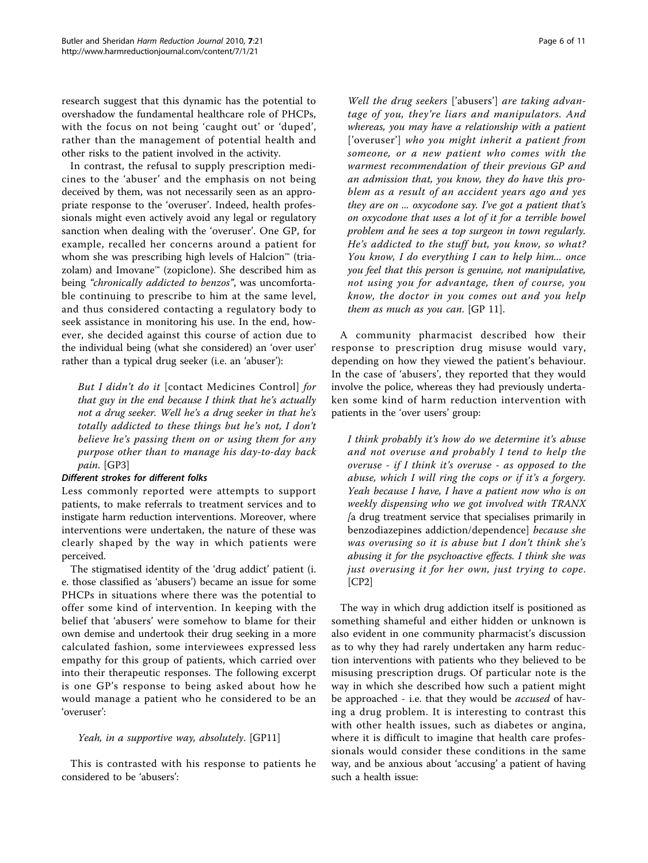research suggest that this dynamic has the potential to overshadow the fundamental healthcare role of PHCPs, with the focus on not being 'caught out' or 'duped', rather than the management of potential health and other risks to the patient involved in the activity.

In contrast, the refusal to supply prescription medicines to the 'abuser' and the emphasis on not being deceived by them, was not necessarily seen as an appropriate response to the 'overuser'. Indeed, health professionals might even actively avoid any legal or regulatory sanction when dealing with the 'overuser'. One GP, for example, recalled her concerns around a patient for whom she was prescribing high levels of Halcion™ (triazolam) and Imovane™ (zopiclone). She described him as being "chronically addicted to benzos", was uncomfortable continuing to prescribe to him at the same level, and thus considered contacting a regulatory body to seek assistance in monitoring his use. In the end, however, she decided against this course of action due to the individual being (what she considered) an 'over user' rather than a typical drug seeker (i.e. an 'abuser'):

But I didn't do it [contact Medicines Control] for that guy in the end because I think that he's actually not a drug seeker. Well he's a drug seeker in that he's totally addicted to these things but he's not, I don't believe he's passing them on or using them for any purpose other than to manage his day-to-day back pain. [GP3]

## Different strokes for different folks

Less commonly reported were attempts to support patients, to make referrals to treatment services and to instigate harm reduction interventions. Moreover, where interventions were undertaken, the nature of these was clearly shaped by the way in which patients were perceived.

The stigmatised identity of the 'drug addict' patient (i. e. those classified as 'abusers') became an issue for some PHCPs in situations where there was the potential to offer some kind of intervention. In keeping with the belief that 'abusers' were somehow to blame for their own demise and undertook their drug seeking in a more calculated fashion, some interviewees expressed less empathy for this group of patients, which carried over into their therapeutic responses. The following excerpt is one GP's response to being asked about how he would manage a patient who he considered to be an 'overuser':

## Yeah, in a supportive way, absolutely. [GP11]

This is contrasted with his response to patients he considered to be 'abusers':

Well the drug seekers ['abusers'] are taking advantage of you, they're liars and manipulators. And whereas, you may have a relationship with a patient ['overuser'] who you might inherit a patient from someone, or a new patient who comes with the warmest recommendation of their previous GP and an admission that, you know, they do have this problem as a result of an accident years ago and yes they are on ... oxycodone say. I've got a patient that's on oxycodone that uses a lot of it for a terrible bowel problem and he sees a top surgeon in town regularly. He's addicted to the stuff but, you know, so what? You know, I do everything I can to help him... once you feel that this person is genuine, not manipulative, not using you for advantage, then of course, you know, the doctor in you comes out and you help them as much as you can. [GP 11].

A community pharmacist described how their response to prescription drug misuse would vary, depending on how they viewed the patient's behaviour. In the case of 'abusers', they reported that they would involve the police, whereas they had previously undertaken some kind of harm reduction intervention with patients in the 'over users' group:

I think probably it's how do we determine it's abuse and not overuse and probably I tend to help the overuse - if I think it's overuse - as opposed to the abuse, which I will ring the cops or if it's a forgery. Yeah because I have, I have a patient now who is on weekly dispensing who we got involved with TRANX [a drug treatment service that specialises primarily in benzodiazepines addiction/dependence] because she was overusing so it is abuse but I don't think she's abusing it for the psychoactive effects. I think she was just overusing it for her own, just trying to cope.  $[CP2]$ 

The way in which drug addiction itself is positioned as something shameful and either hidden or unknown is also evident in one community pharmacist's discussion as to why they had rarely undertaken any harm reduction interventions with patients who they believed to be misusing prescription drugs. Of particular note is the way in which she described how such a patient might be approached - i.e. that they would be *accused* of having a drug problem. It is interesting to contrast this with other health issues, such as diabetes or angina, where it is difficult to imagine that health care professionals would consider these conditions in the same way, and be anxious about 'accusing' a patient of having such a health issue: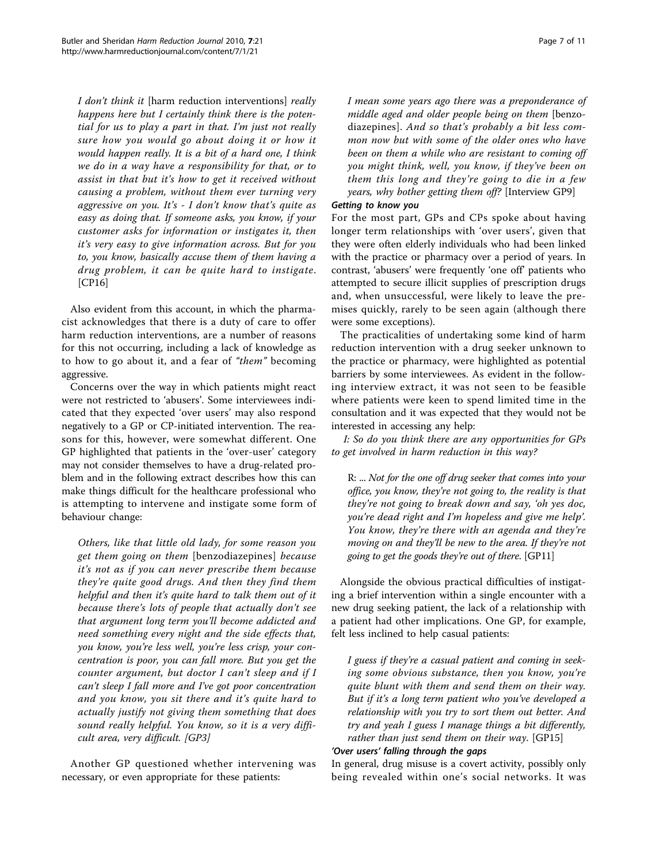I don't think it [harm reduction interventions] really happens here but I certainly think there is the potential for us to play a part in that. I'm just not really sure how you would go about doing it or how it would happen really. It is a bit of a hard one, I think we do in a way have a responsibility for that, or to assist in that but it's how to get it received without causing a problem, without them ever turning very aggressive on you. It's - I don't know that's quite as easy as doing that. If someone asks, you know, if your customer asks for information or instigates it, then it's very easy to give information across. But for you to, you know, basically accuse them of them having a drug problem, it can be quite hard to instigate. [CP16]

Also evident from this account, in which the pharmacist acknowledges that there is a duty of care to offer harm reduction interventions, are a number of reasons for this not occurring, including a lack of knowledge as to how to go about it, and a fear of "them" becoming aggressive.

Concerns over the way in which patients might react were not restricted to 'abusers'. Some interviewees indicated that they expected 'over users' may also respond negatively to a GP or CP-initiated intervention. The reasons for this, however, were somewhat different. One GP highlighted that patients in the 'over-user' category may not consider themselves to have a drug-related problem and in the following extract describes how this can make things difficult for the healthcare professional who is attempting to intervene and instigate some form of behaviour change:

Others, like that little old lady, for some reason you get them going on them [benzodiazepines] because it's not as if you can never prescribe them because they're quite good drugs. And then they find them helpful and then it's quite hard to talk them out of it because there's lots of people that actually don't see that argument long term you'll become addicted and need something every night and the side effects that, you know, you're less well, you're less crisp, your concentration is poor, you can fall more. But you get the counter argument, but doctor I can't sleep and if I can't sleep I fall more and I've got poor concentration and you know, you sit there and it's quite hard to actually justify not giving them something that does sound really helpful. You know, so it is a very difficult area, very difficult. [GP3]

Another GP questioned whether intervening was necessary, or even appropriate for these patients:

I mean some years ago there was a preponderance of middle aged and older people being on them [benzodiazepines]. And so that's probably a bit less common now but with some of the older ones who have been on them a while who are resistant to coming off you might think, well, you know, if they've been on them this long and they're going to die in a few years, why bother getting them off? [Interview GP9]

#### Getting to know you

For the most part, GPs and CPs spoke about having longer term relationships with 'over users', given that they were often elderly individuals who had been linked with the practice or pharmacy over a period of years. In contrast, 'abusers' were frequently 'one off' patients who attempted to secure illicit supplies of prescription drugs and, when unsuccessful, were likely to leave the premises quickly, rarely to be seen again (although there were some exceptions).

The practicalities of undertaking some kind of harm reduction intervention with a drug seeker unknown to the practice or pharmacy, were highlighted as potential barriers by some interviewees. As evident in the following interview extract, it was not seen to be feasible where patients were keen to spend limited time in the consultation and it was expected that they would not be interested in accessing any help:

I: So do you think there are any opportunities for GPs to get involved in harm reduction in this way?

R: ... Not for the one off drug seeker that comes into your office, you know, they're not going to, the reality is that they're not going to break down and say, 'oh yes doc, you're dead right and I'm hopeless and give me help'. You know, they're there with an agenda and they're moving on and they'll be new to the area. If they're not going to get the goods they're out of there. [GP11]

Alongside the obvious practical difficulties of instigating a brief intervention within a single encounter with a new drug seeking patient, the lack of a relationship with a patient had other implications. One GP, for example, felt less inclined to help casual patients:

I guess if they're a casual patient and coming in seeking some obvious substance, then you know, you're quite blunt with them and send them on their way. But if it's a long term patient who you've developed a relationship with you try to sort them out better. And try and yeah I guess I manage things a bit differently, rather than just send them on their way. [GP15]

#### 'Over users' falling through the gaps

In general, drug misuse is a covert activity, possibly only being revealed within one's social networks. It was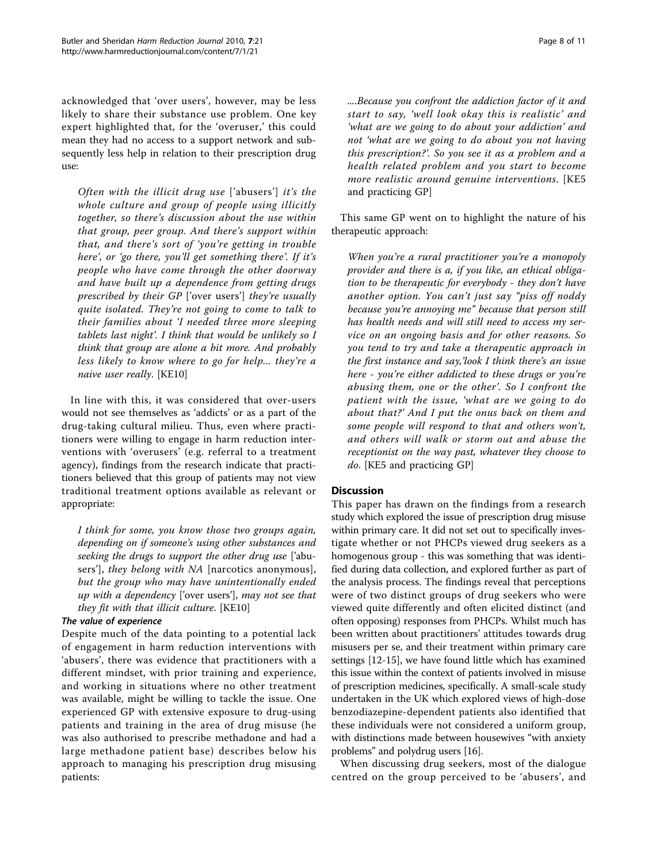acknowledged that 'over users', however, may be less likely to share their substance use problem. One key expert highlighted that, for the 'overuser,' this could mean they had no access to a support network and subsequently less help in relation to their prescription drug use:

Often with the illicit drug use ['abusers'] it's the whole culture and group of people using illicitly together, so there's discussion about the use within that group, peer group. And there's support within that, and there's sort of 'you're getting in trouble here', or 'go there, you'll get something there'. If it's people who have come through the other doorway and have built up a dependence from getting drugs prescribed by their GP ['over users'] they're usually quite isolated. They're not going to come to talk to their families about 'I needed three more sleeping tablets last night'. I think that would be unlikely so I think that group are alone a bit more. And probably less likely to know where to go for help... they're a naive user really. [KE10]

In line with this, it was considered that over-users would not see themselves as 'addicts' or as a part of the drug-taking cultural milieu. Thus, even where practitioners were willing to engage in harm reduction interventions with 'overusers' (e.g. referral to a treatment agency), findings from the research indicate that practitioners believed that this group of patients may not view traditional treatment options available as relevant or appropriate:

I think for some, you know those two groups again, depending on if someone's using other substances and seeking the drugs to support the other drug use ['abusers'], they belong with NA [narcotics anonymous], but the group who may have unintentionally ended up with a dependency ['over users'], may not see that they fit with that illicit culture. [KE10]

## The value of experience

Despite much of the data pointing to a potential lack of engagement in harm reduction interventions with 'abusers', there was evidence that practitioners with a different mindset, with prior training and experience, and working in situations where no other treatment was available, might be willing to tackle the issue. One experienced GP with extensive exposure to drug-using patients and training in the area of drug misuse (he was also authorised to prescribe methadone and had a large methadone patient base) describes below his approach to managing his prescription drug misusing patients:

....Because you confront the addiction factor of it and start to say, 'well look okay this is realistic' and 'what are we going to do about your addiction' and not 'what are we going to do about you not having this prescription?'. So you see it as a problem and a health related problem and you start to become more realistic around genuine interventions. [KE5 and practicing GP]

This same GP went on to highlight the nature of his therapeutic approach:

When you're a rural practitioner you're a monopoly provider and there is a, if you like, an ethical obligation to be therapeutic for everybody - they don't have another option. You can't just say "piss off noddy because you're annoying me" because that person still has health needs and will still need to access my service on an ongoing basis and for other reasons. So you tend to try and take a therapeutic approach in the first instance and say,'look I think there's an issue here - you're either addicted to these drugs or you're abusing them, one or the other'. So I confront the patient with the issue, 'what are we going to do about that?' And I put the onus back on them and some people will respond to that and others won't, and others will walk or storm out and abuse the receptionist on the way past, whatever they choose to do. [KE5 and practicing GP]

## **Discussion**

This paper has drawn on the findings from a research study which explored the issue of prescription drug misuse within primary care. It did not set out to specifically investigate whether or not PHCPs viewed drug seekers as a homogenous group - this was something that was identified during data collection, and explored further as part of the analysis process. The findings reveal that perceptions were of two distinct groups of drug seekers who were viewed quite differently and often elicited distinct (and often opposing) responses from PHCPs. Whilst much has been written about practitioners' attitudes towards drug misusers per se, and their treatment within primary care settings [[12](#page-9-0)-[15\]](#page-9-0), we have found little which has examined this issue within the context of patients involved in misuse of prescription medicines, specifically. A small-scale study undertaken in the UK which explored views of high-dose benzodiazepine-dependent patients also identified that these individuals were not considered a uniform group, with distinctions made between housewives "with anxiety problems" and polydrug users [\[16](#page-9-0)].

When discussing drug seekers, most of the dialogue centred on the group perceived to be 'abusers', and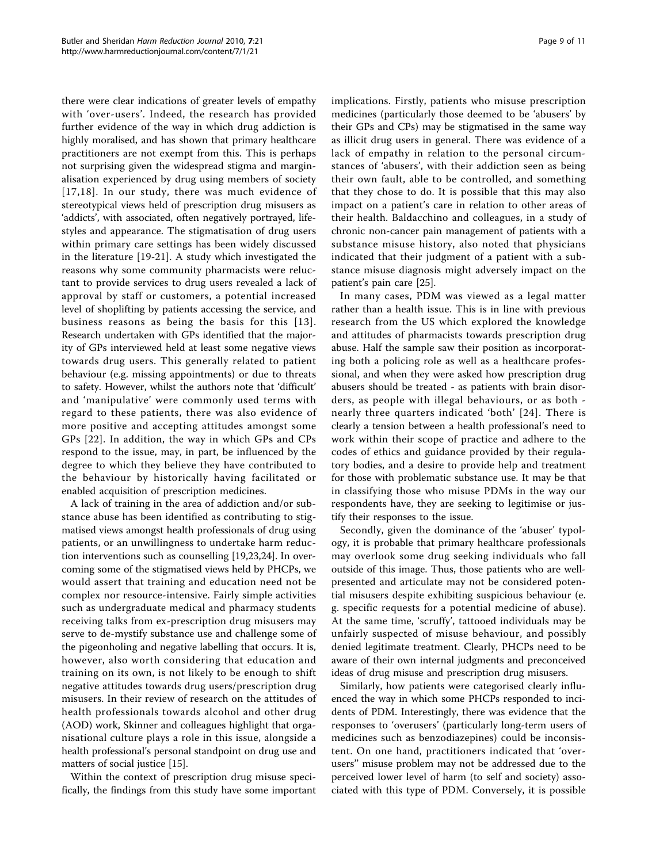there were clear indications of greater levels of empathy with 'over-users'. Indeed, the research has provided further evidence of the way in which drug addiction is highly moralised, and has shown that primary healthcare practitioners are not exempt from this. This is perhaps not surprising given the widespread stigma and marginalisation experienced by drug using members of society [[17](#page-9-0),[18](#page-9-0)]. In our study, there was much evidence of stereotypical views held of prescription drug misusers as 'addicts', with associated, often negatively portrayed, lifestyles and appearance. The stigmatisation of drug users within primary care settings has been widely discussed in the literature [[19-](#page-9-0)[21\]](#page-10-0). A study which investigated the reasons why some community pharmacists were reluctant to provide services to drug users revealed a lack of approval by staff or customers, a potential increased level of shoplifting by patients accessing the service, and business reasons as being the basis for this [[13\]](#page-9-0). Research undertaken with GPs identified that the majority of GPs interviewed held at least some negative views towards drug users. This generally related to patient behaviour (e.g. missing appointments) or due to threats to safety. However, whilst the authors note that 'difficult' and 'manipulative' were commonly used terms with regard to these patients, there was also evidence of more positive and accepting attitudes amongst some GPs [[22](#page-10-0)]. In addition, the way in which GPs and CPs respond to the issue, may, in part, be influenced by the degree to which they believe they have contributed to the behaviour by historically having facilitated or enabled acquisition of prescription medicines.

A lack of training in the area of addiction and/or substance abuse has been identified as contributing to stigmatised views amongst health professionals of drug using patients, or an unwillingness to undertake harm reduction interventions such as counselling [\[19](#page-9-0)[,23,24\]](#page-10-0). In overcoming some of the stigmatised views held by PHCPs, we would assert that training and education need not be complex nor resource-intensive. Fairly simple activities such as undergraduate medical and pharmacy students receiving talks from ex-prescription drug misusers may serve to de-mystify substance use and challenge some of the pigeonholing and negative labelling that occurs. It is, however, also worth considering that education and training on its own, is not likely to be enough to shift negative attitudes towards drug users/prescription drug misusers. In their review of research on the attitudes of health professionals towards alcohol and other drug (AOD) work, Skinner and colleagues highlight that organisational culture plays a role in this issue, alongside a health professional's personal standpoint on drug use and matters of social justice [[15\]](#page-9-0).

Within the context of prescription drug misuse specifically, the findings from this study have some important implications. Firstly, patients who misuse prescription medicines (particularly those deemed to be 'abusers' by their GPs and CPs) may be stigmatised in the same way as illicit drug users in general. There was evidence of a lack of empathy in relation to the personal circumstances of 'abusers', with their addiction seen as being their own fault, able to be controlled, and something that they chose to do. It is possible that this may also impact on a patient's care in relation to other areas of their health. Baldacchino and colleagues, in a study of chronic non-cancer pain management of patients with a substance misuse history, also noted that physicians indicated that their judgment of a patient with a substance misuse diagnosis might adversely impact on the patient's pain care [[25\]](#page-10-0).

In many cases, PDM was viewed as a legal matter rather than a health issue. This is in line with previous research from the US which explored the knowledge and attitudes of pharmacists towards prescription drug abuse. Half the sample saw their position as incorporating both a policing role as well as a healthcare professional, and when they were asked how prescription drug abusers should be treated - as patients with brain disorders, as people with illegal behaviours, or as both nearly three quarters indicated 'both' [[24\]](#page-10-0). There is clearly a tension between a health professional's need to work within their scope of practice and adhere to the codes of ethics and guidance provided by their regulatory bodies, and a desire to provide help and treatment for those with problematic substance use. It may be that in classifying those who misuse PDMs in the way our respondents have, they are seeking to legitimise or justify their responses to the issue.

Secondly, given the dominance of the 'abuser' typology, it is probable that primary healthcare professionals may overlook some drug seeking individuals who fall outside of this image. Thus, those patients who are wellpresented and articulate may not be considered potential misusers despite exhibiting suspicious behaviour (e. g. specific requests for a potential medicine of abuse). At the same time, 'scruffy', tattooed individuals may be unfairly suspected of misuse behaviour, and possibly denied legitimate treatment. Clearly, PHCPs need to be aware of their own internal judgments and preconceived ideas of drug misuse and prescription drug misusers.

Similarly, how patients were categorised clearly influenced the way in which some PHCPs responded to incidents of PDM. Interestingly, there was evidence that the responses to 'overusers' (particularly long-term users of medicines such as benzodiazepines) could be inconsistent. On one hand, practitioners indicated that 'overusers'' misuse problem may not be addressed due to the perceived lower level of harm (to self and society) associated with this type of PDM. Conversely, it is possible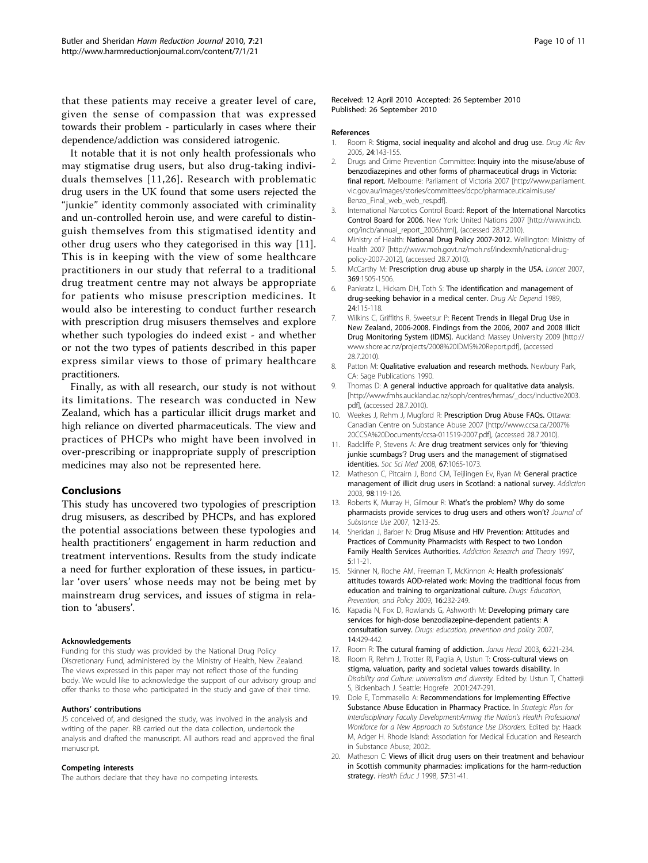<span id="page-9-0"></span>that these patients may receive a greater level of care, given the sense of compassion that was expressed towards their problem - particularly in cases where their dependence/addiction was considered iatrogenic.

It notable that it is not only health professionals who may stigmatise drug users, but also drug-taking individuals themselves [11,[26](#page-10-0)]. Research with problematic drug users in the UK found that some users rejected the "junkie" identity commonly associated with criminality and un-controlled heroin use, and were careful to distinguish themselves from this stigmatised identity and other drug users who they categorised in this way [11]. This is in keeping with the view of some healthcare practitioners in our study that referral to a traditional drug treatment centre may not always be appropriate for patients who misuse prescription medicines. It would also be interesting to conduct further research with prescription drug misusers themselves and explore whether such typologies do indeed exist - and whether or not the two types of patients described in this paper express similar views to those of primary healthcare practitioners.

Finally, as with all research, our study is not without its limitations. The research was conducted in New Zealand, which has a particular illicit drugs market and high reliance on diverted pharmaceuticals. The view and practices of PHCPs who might have been involved in over-prescribing or inappropriate supply of prescription medicines may also not be represented here.

#### Conclusions

This study has uncovered two typologies of prescription drug misusers, as described by PHCPs, and has explored the potential associations between these typologies and health practitioners' engagement in harm reduction and treatment interventions. Results from the study indicate a need for further exploration of these issues, in particular 'over users' whose needs may not be being met by mainstream drug services, and issues of stigma in relation to 'abusers'.

#### Acknowledgements

Funding for this study was provided by the National Drug Policy Discretionary Fund, administered by the Ministry of Health, New Zealand. The views expressed in this paper may not reflect those of the funding body. We would like to acknowledge the support of our advisory group and offer thanks to those who participated in the study and gave of their time.

#### Authors' contributions

JS conceived of, and designed the study, was involved in the analysis and writing of the paper. RB carried out the data collection, undertook the analysis and drafted the manuscript. All authors read and approved the final manuscript.

#### Competing interests

The authors declare that they have no competing interests.

Received: 12 April 2010 Accepted: 26 September 2010 Published: 26 September 2010

#### References

- 1. Room R: Stigma, social inequality and alcohol and drug use. Drug Alc Rev 2005, 24:143-155.
- 2. Drugs and Crime Prevention Committee: Inquiry into the misuse/abuse of benzodiazepines and other forms of pharmaceutical drugs in Victoria: final report. Melbourne: Parliament of Victoria 2007 [\[http://www.parliament.](http://www.parliament.vic.gov.au/images/stories/committees/dcpc/pharmaceuticalmisuse/Benzo_Final_web_web_res.pdf) [vic.gov.au/images/stories/committees/dcpc/pharmaceuticalmisuse/](http://www.parliament.vic.gov.au/images/stories/committees/dcpc/pharmaceuticalmisuse/Benzo_Final_web_web_res.pdf) [Benzo\\_Final\\_web\\_web\\_res.pdf\]](http://www.parliament.vic.gov.au/images/stories/committees/dcpc/pharmaceuticalmisuse/Benzo_Final_web_web_res.pdf).
- 3. International Narcotics Control Board: Report of the International Narcotics Control Board for 2006. New York: United Nations 2007 [[http://www.incb.](http://www.incb.org/incb/annual_report_2006.html) [org/incb/annual\\_report\\_2006.html\]](http://www.incb.org/incb/annual_report_2006.html), (accessed 28.7.2010).
- Ministry of Health: National Drug Policy 2007-2012. Wellington: Ministry of Health 2007 [\[http://www.moh.govt.nz/moh.nsf/indexmh/national-drug](http://www.moh.govt.nz/moh.nsf/indexmh/national-drug-policy-2007-2012)[policy-2007-2012\]](http://www.moh.govt.nz/moh.nsf/indexmh/national-drug-policy-2007-2012), (accessed 28.7.2010).
- 5. McCarthy M: [Prescription drug abuse up sharply in the USA.](http://www.ncbi.nlm.nih.gov/pubmed/17486697?dopt=Abstract) Lancet 2007, 369:1505-1506.
- 6. Pankratz L, Hickam DH, Toth S: The identification and management of drug-seeking behavior in a medical center. Drug Alc Depend 1989, 24:115-118.
- 7. Wilkins C, Griffiths R, Sweetsur P: Recent Trends in Illegal Drug Use in New Zealand, 2006-2008. Findings from the 2006, 2007 and 2008 Illicit Drug Monitoring System (IDMS). Auckland: Massey University 2009 [\[http://](http://www.shore.ac.nz/projects/2008%20IDMS%20Report.pdf) [www.shore.ac.nz/projects/2008%20IDMS%20Report.pdf](http://www.shore.ac.nz/projects/2008%20IDMS%20Report.pdf)], (accessed 28.7.2010).
- 8. Patton M: Qualitative evaluation and research methods. Newbury Park, CA: Sage Publications 1990.
- 9. Thomas D: A general inductive approach for qualitative data analysis. [[http://www.fmhs.auckland.ac.nz/soph/centres/hrmas/\\_docs/Inductive2003.](http://www.fmhs.auckland.ac.nz/soph/centres/hrmas/_docs/Inductive2003.pdf) [pdf](http://www.fmhs.auckland.ac.nz/soph/centres/hrmas/_docs/Inductive2003.pdf)], (accessed 28.7.2010).
- 10. Weekes J, Rehm J, Mugford R: Prescription Drug Abuse FAQs. Ottawa: Canadian Centre on Substance Abuse 2007 [[http://www.ccsa.ca/2007%](http://www.ccsa.ca/2007%20CCSA%20Documents/ccsa-011519-2007.pdf) [20CCSA%20Documents/ccsa-011519-2007.pdf\]](http://www.ccsa.ca/2007%20CCSA%20Documents/ccsa-011519-2007.pdf), (accessed 28.7.2010).
- 11. Radcliffe P, Stevens A: [Are drug treatment services only for](http://www.ncbi.nlm.nih.gov/pubmed/18640760?dopt=Abstract) 'thieving junkie scumbags'[? Drug users and the management of stigmatised](http://www.ncbi.nlm.nih.gov/pubmed/18640760?dopt=Abstract) [identities.](http://www.ncbi.nlm.nih.gov/pubmed/18640760?dopt=Abstract) Soc Sci Med 2008, 67:1065-1073.
- 12. Matheson C, Pitcairn J, Bond CM, Teijlingen Ev, Ryan M: [General practice](http://www.ncbi.nlm.nih.gov/pubmed/12492763?dopt=Abstract) [management of illicit drug users in Scotland: a national survey.](http://www.ncbi.nlm.nih.gov/pubmed/12492763?dopt=Abstract) Addiction 2003, 98:119-126.
- 13. Roberts K, Murray H, Gilmour R: What's the problem? Why do some pharmacists provide services to drug users and others won't? Journal of Substance Use 2007, 12:13-25.
- Sheridan J, Barber N: Drug Misuse and HIV Prevention: Attitudes and Practices of Community Pharmacists with Respect to two London Family Health Services Authorities. Addiction Research and Theory 1997, 5:11-21.
- 15. Skinner N, Roche AM, Freeman T, McKinnon A: Health professionals' attitudes towards AOD-related work: Moving the traditional focus from education and training to organizational culture. Drugs: Education, Prevention, and Policy 2009, 16:232-249.
- 16. Kapadia N, Fox D, Rowlands G, Ashworth M: Developing primary care services for high-dose benzodiazepine-dependent patients: A consultation survey. Drugs: education, prevention and policy 2007, 14:429-442.
- 17. Room R: The cutural framing of addiction. Janus Head 2003, 6:221-234.
- 18. Room R, Rehm J, Trotter RI, Paglia A, Ustun T: Cross-cultural views on stigma, valuation, parity and societal values towards disability. In Disability and Culture: universalism and diversity. Edited by: Ustun T, Chatterji S, Bickenbach J. Seattle: Hogrefe 2001:247-291.
- 19. Dole E, Tommasello A: Recommendations for Implementing Effective Substance Abuse Education in Pharmacy Practice. In Strategic Plan for Interdisciplinary Faculty Development:Arming the Nation's Health Professional Workforce for a New Approach to Substance Use Disorders. Edited by: Haack M, Adger H. Rhode Island: Association for Medical Education and Research in Substance Abuse; 2002:.
- 20. Matheson C: Views of illicit drug users on their treatment and behaviour in Scottish community pharmacies: implications for the harm-reduction strategy. Health Educ J 1998, 57:31-41.